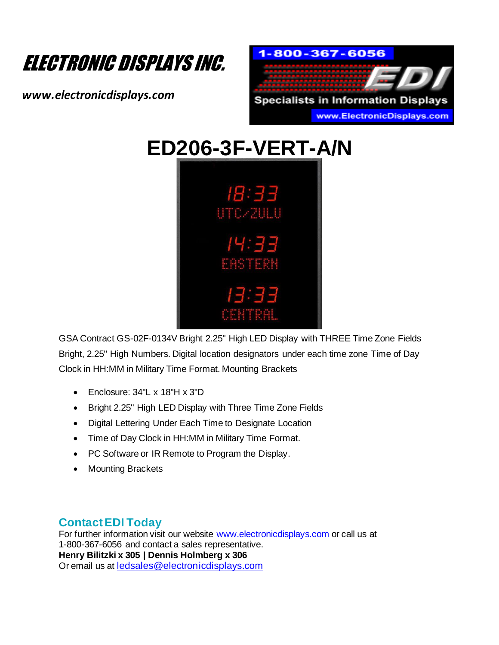

*www.electronicdisplays.com*





GSA Contract GS-02F-0134V Bright 2.25" High LED Display with THREE Time Zone Fields Bright, 2.25" High Numbers. Digital location designators under each time zone Time of Day Clock in HH:MM in Military Time Format. Mounting Brackets

- Enclosure: 34"L x 18"H x 3"D
- Bright 2.25" High LED Display with Three Time Zone Fields
- Digital Lettering Under Each Time to Designate Location
- Time of Day Clock in HH:MM in Military Time Format.
- PC Software or IR Remote to Program the Display.
- Mounting Brackets

## **Contact EDI Today**

For further information visit our website www.electronicdisplays.com or call us at 1-800-367-6056 and contact a sales representative. **Henry Bilitzki x 305 | Dennis Holmberg x 306** Or email us at ledsales@electronicdisplays.com